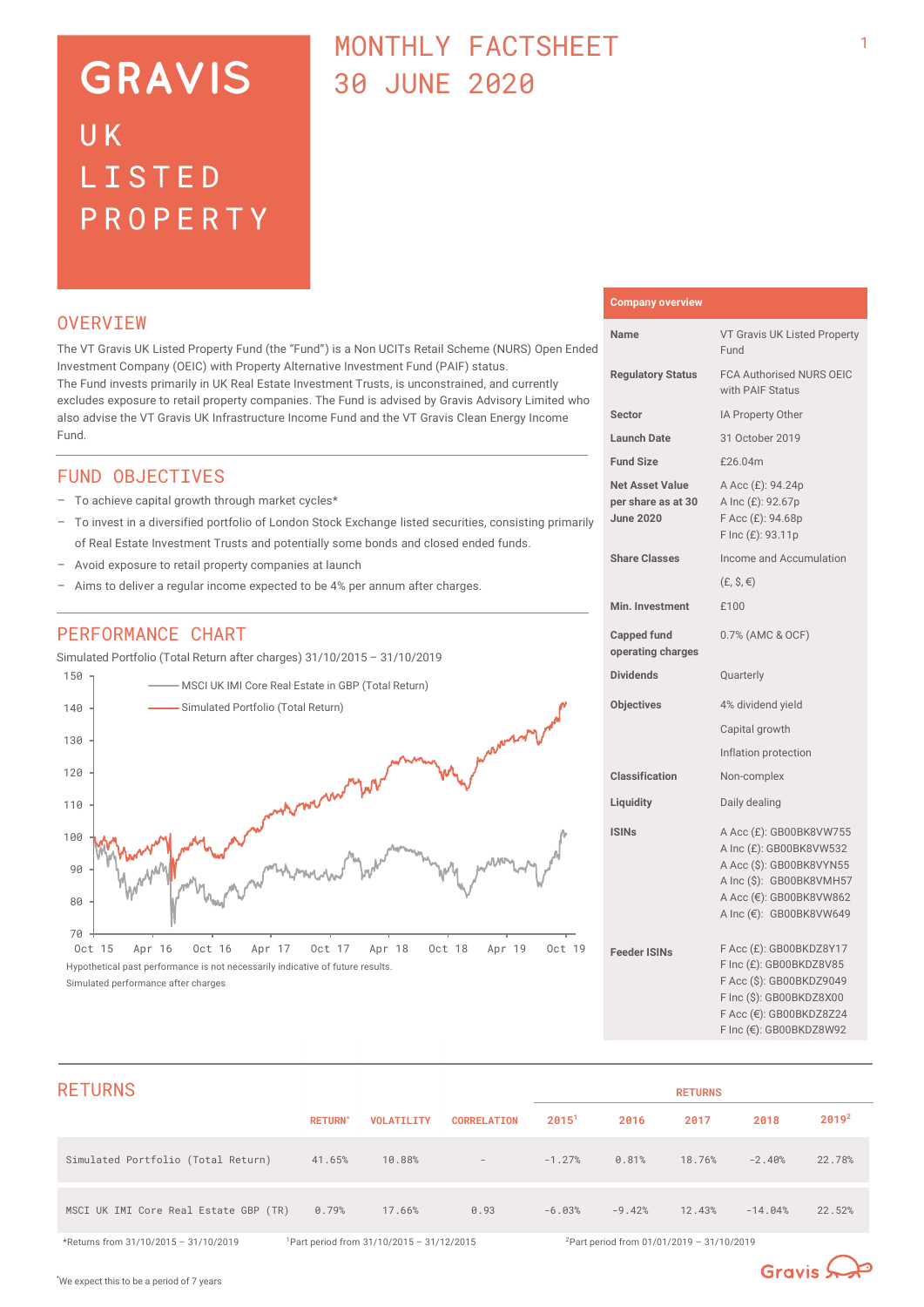# **GRAVIS**  $U K$ LISTED PROPERTY

# MONTHLY FACTSHEET 30 JUNE 2020

# **OVERVTEW**

The VT Gravis UK Listed Property Fund (the "Fund") is a Non UCITs Retail Scheme (NURS) Open Ended Investment Company (OEIC) with Property Alternative Investment Fund (PAIF) status. The Fund invests primarily in UK Real Estate Investment Trusts, is unconstrained, and currently excludes exposure to retail property companies. The Fund is advised by Gravis Advisory Limited who also advise the VT Gravis UK Infrastructure Income Fund and the VT Gravis Clean Energy Income Fund.

## FUND OBJECTIVES

- To achieve capital growth through market cycles\*
- To invest in a diversified portfolio of London Stock Exchange listed securities, consisting primarily of Real Estate Investment Trusts and potentially some bonds and closed ended funds.
- Avoid exposure to retail property companies at launch
- Aims to deliver a regular income expected to be 4% per annum after charges.

# PERFORMANCE CHART

Simulated Portfolio (Total Return after charges) 31/10/2015 – 31/10/2019



Oct 15 Apr 16 Oct 16 Apr 17 Oct 17 Apr 18 Oct 18 Apr 19 Oct 19 Hypothetical past performance is not necessarily indicative of future results. Simulated performance after charges

## **Name** VT Gravis UK Listed Property Fund **Regulatory Status** FCA Authorised NURS OEIC with PAIF Status **Sector** IA Property Other **Launch Date** 31 October 2019 **Fund Size Net Asset Value per share as at 30 June 2020** £26.04m A Acc (£): 94.24p A Inc (£): 92.67p F Acc (£): 94.68p F Inc (£): 93.11p **Share Classes** Income and Accumulation  $(E, \hat{S}, \epsilon)$ **Min. Investment** £100 **Capped fund operating charges** 0.7% (AMC & OCF) **Dividends Quarterly Objectives** 4% dividend yield Capital growth Inflation protection **Classification** Non-complex **Liquidity Daily dealing ISINs Feeder ISINs** A Acc (£): GB00BK8VW755 A Inc (£): GB00BK8VW532 A Acc (\$): GB00BK8VYN55 A Inc (\$): GB00BK8VMH57 A Acc (€): GB00BK8VW862 A Inc (€): GB00BK8VW649 F Acc (£): GB00BKDZ8Y17 F Inc (£): GB00BKDZ8V85 F Acc (\$): GB00BKDZ9049 F Inc (\$): GB00BKDZ8X00

**Company overview**

F Acc (€): GB00BKDZ8Z24 F Inc (€): GB00BKDZ8W92

| <b>RETURNS</b>                        |                 |                                                         |                          |                   |                                                       | <b>RETURNS</b> |           |                   |
|---------------------------------------|-----------------|---------------------------------------------------------|--------------------------|-------------------|-------------------------------------------------------|----------------|-----------|-------------------|
|                                       | <b>RETURN</b> * | <b>VOLATILITY</b>                                       | <b>CORRELATION</b>       | 2015 <sup>1</sup> | 2016                                                  | 2017           | 2018      | 2019 <sup>2</sup> |
| Simulated Portfolio (Total Return)    | 41.65%          | 10.88%                                                  | $\overline{\phantom{a}}$ | $-1.27%$          | 0.81%                                                 | 18.76%         | $-2.40%$  | 22.78%            |
| MSCI UK IMI Core Real Estate GBP (TR) | 0.79%           | 17.66%                                                  | 0.93                     | $-6.03%$          | $-9.42%$                                              | 12.43%         | $-14.04%$ | 22.52%            |
| *Returns from 31/10/2015 - 31/10/2019 |                 | <sup>1</sup> Part period from $31/10/2015 - 31/12/2015$ |                          |                   | <sup>2</sup> Part period from 01/01/2019 - 31/10/2019 |                |           |                   |



1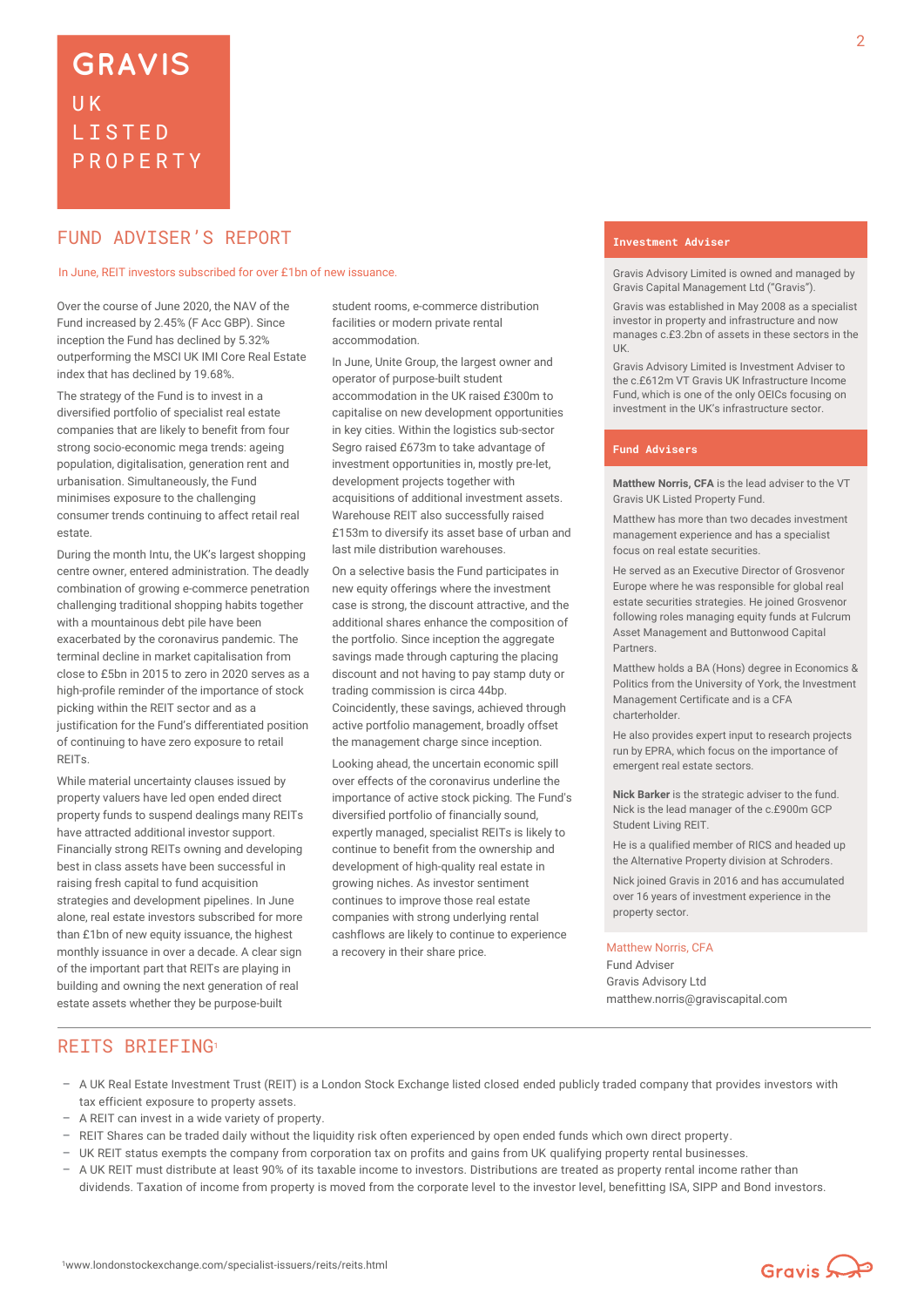# **FUND ADVISER'S REPORT THE EXAMPLE ADVISER'S**

### In June, REIT investors subscribed for over £1bn of new issuance.

Over the course of June 2020, the NAV of the Fund increased by 2.45% (F Acc GBP). Since inception the Fund has declined by 5.32% outperforming the MSCI UK IMI Core Real Estate index that has declined by 19.68%.

The strategy of the Fund is to invest in a diversified portfolio of specialist real estate companies that are likely to benefit from four strong socio-economic mega trends: ageing population, digitalisation, generation rent and urbanisation. Simultaneously, the Fund minimises exposure to the challenging consumer trends continuing to affect retail real estate.

During the month Intu, the UK's largest shopping centre owner, entered administration. The deadly combination of growing e-commerce penetration challenging traditional shopping habits together with a mountainous debt pile have been exacerbated by the coronavirus pandemic. The terminal decline in market capitalisation from close to £5bn in 2015 to zero in 2020 serves as a high-profile reminder of the importance of stock picking within the REIT sector and as a justification for the Fund's differentiated position of continuing to have zero exposure to retail REITs.

While material uncertainty clauses issued by property valuers have led open ended direct property funds to suspend dealings many REITs have attracted additional investor support. Financially strong REITs owning and developing best in class assets have been successful in raising fresh capital to fund acquisition strategies and development pipelines. In June alone, real estate investors subscribed for more than £1bn of new equity issuance, the highest monthly issuance in over a decade. A clear sign of the important part that REITs are playing in building and owning the next generation of real estate assets whether they be purpose-built

student rooms, e-commerce distribution facilities or modern private rental accommodation.

In June, Unite Group, the largest owner and operator of purpose-built student accommodation in the UK raised £300m to capitalise on new development opportunities in key cities. Within the logistics sub-sector Segro raised £673m to take advantage of investment opportunities in, mostly pre-let, development projects together with acquisitions of additional investment assets. Warehouse REIT also successfully raised £153m to diversify its asset base of urban and last mile distribution warehouses.

On a selective basis the Fund participates in new equity offerings where the investment case is strong, the discount attractive, and the additional shares enhance the composition of the portfolio. Since inception the aggregate savings made through capturing the placing discount and not having to pay stamp duty or trading commission is circa 44bp. Coincidently, these savings, achieved through active portfolio management, broadly offset the management charge since inception.

Looking ahead, the uncertain economic spill over effects of the coronavirus underline the importance of active stock picking. The Fund's diversified portfolio of financially sound, expertly managed, specialist REITs is likely to continue to benefit from the ownership and development of high-quality real estate in growing niches. As investor sentiment continues to improve those real estate companies with strong underlying rental cashflows are likely to continue to experience a recovery in their share price.

Gravis Advisory Limited is owned and managed by Gravis Capital Management Ltd ("Gravis").

Gravis was established in May 2008 as a specialist investor in property and infrastructure and now manages c.£3.2bn of assets in these sectors in the UK.

Gravis Advisory Limited is Investment Adviser to the c.£612m VT Gravis UK Infrastructure Income Fund, which is one of the only OEICs focusing on investment in the UK's infrastructure sector.

## **Fund Advisers**

**Matthew Norris, CFA** is the lead adviser to the VT Gravis UK Listed Property Fund.

Matthew has more than two decades investment management experience and has a specialist focus on real estate securities.

He served as an Executive Director of Grosvenor Europe where he was responsible for global real estate securities strategies. He joined Grosvenor following roles managing equity funds at Fulcrum Asset Management and Buttonwood Capital Partners.

Matthew holds a BA (Hons) degree in Economics & Politics from the University of York, the Investment Management Certificate and is a CFA charterholder.

He also provides expert input to research projects run by EPRA, which focus on the importance of emergent real estate sectors.

**Nick Barker** is the strategic adviser to the fund. Nick is the lead manager of the c.£900m GCP Student Living REIT.

He is a qualified member of RICS and headed up the Alternative Property division at Schroders.

Nick joined Gravis in 2016 and has accumulated over 16 years of investment experience in the property sector.

### Matthew Norris, CEA

Fund Adviser Gravis Advisory Ltd matthew.norris@graviscapital.com

## REITS BRIEFING<sup>1</sup>

- A UK Real Estate Investment Trust (REIT) is a London Stock Exchange listed closed ended publicly traded company that provides investors with tax efficient exposure to property assets.
- A REIT can invest in a wide variety of property.
- REIT Shares can be traded daily without the liquidity risk often experienced by open ended funds which own direct property.
- UK REIT status exempts the company from corporation tax on profits and gains from UK qualifying property rental businesses.
- A UK REIT must distribute at least 90% of its taxable income to investors. Distributions are treated as property rental income rather than dividends. Taxation of income from property is moved from the corporate level to the investor level, benefitting ISA, SIPP and Bond investors.